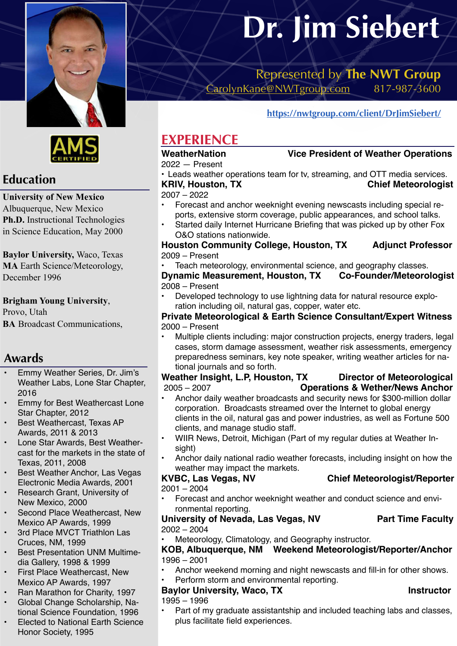



# **Education**

### **University of New Mexico**

Albuquerque, New Mexico **Ph.D.** Instructional Technologies in Science Education, May 2000

**Baylor University,** Waco, Texas **MA** Earth Science/Meteorology, December 1996

#### **Brigham Young University**,

Provo, Utah **BA** Broadcast Communications,

## **Awards**

- Emmy Weather Series, Dr. Jim's Weather Labs, Lone Star Chapter, 2016
- Emmy for Best Weathercast Lone Star Chapter, 2012
- Best Weathercast, Texas AP Awards, 2011 & 2013
- Lone Star Awards, Best Weathercast for the markets in the state of Texas, 2011, 2008
- Best Weather Anchor, Las Vegas Electronic Media Awards, 2001
- Research Grant, University of New Mexico, 2000
- Second Place Weathercast, New Mexico AP Awards, 1999
- 3rd Place MVCT Triathlon Las Cruces, NM, 1999
- Best Presentation UNM Multimedia Gallery, 1998 & 1999
- First Place Weathercast, New Mexico AP Awards, 1997
- Ran Marathon for Charity, 1997
- Global Change Scholarship, National Science Foundation, 1996
- Elected to National Earth Science Honor Society, 1995

# **Dr. Jim Siebert**

Represented by **The NWT Group**  [CarolynKane@NWTgroup.com](mailto:CarolynKane@NWTgroup.com) 817-987-3600

# **[https://nwtgroup.com/client/DrJimSiebert/](https://nwtgroup.com/client/drjimsiebert/)**

# **EXPERIENCE**

2022 — Present

# **WeatherNation Vice President of Weather Operations**

• Leads weather operations team for tv, streaming, and OTT media services. **KRIV, Houston, TX** Chief Meteorologist

2007 – 2022

- Forecast and anchor weeknight evening newscasts including special reports, extensive storm coverage, public appearances, and school talks.
- Started daily Internet Hurricane Briefing that was picked up by other Fox O&O stations nationwide.

**Houston Community College, Houston, TX Adjunct Professor** 2009 – Present

• Teach meteorology, environmental science, and geography classes. **Dynamic Measurement, Houston, TX Co-Founder/Meteorologist** 2008 – Present

• Developed technology to use lightning data for natural resource exploration including oil, natural gas, copper, water etc.

#### **Private Meteorological & Earth Science Consultant/Expert Witness** 2000 – Present

• Multiple clients including: major construction projects, energy traders, legal cases, storm damage assessment, weather risk assessments, emergency preparedness seminars, key note speaker, writing weather articles for national journals and so forth.

### **Weather Insight, L.P, Houston, TX Director of Meteorological**  2005 – 2007 **Operations & Wether/News Anchor**

- Anchor daily weather broadcasts and security news for \$300-million dollar corporation. Broadcasts streamed over the Internet to global energy clients in the oil, natural gas and power industries, as well as Fortune 500 clients, and manage studio staff.
- WIIR News, Detroit, Michigan (Part of my regular duties at Weather Insight)
- Anchor daily national radio weather forecasts, including insight on how the weather may impact the markets.

### **KVBC, Las Vegas, NV Chief Meteorologist/Reporter**

## 2001 – 2004

• Forecast and anchor weeknight weather and conduct science and environmental reporting.

## University of Nevada, Las Vegas, NV Part Time Faculty 2002 – 2004

• Meteorology, Climatology, and Geography instructor.

#### **KOB, Albuquerque, NM Weekend Meteorologist/Reporter/Anchor** 1996 – 2001

- Anchor weekend morning and night newscasts and fill-in for other shows.
- Perform storm and environmental reporting. **Baylor University, Waco, TX** And Analytic Must be a linear to the line of the line of the line of the line of the line of the line of the line of the line of the line of the line of the line of the line of the line of the
- 1995 1996

• Part of my graduate assistantship and included teaching labs and classes, plus facilitate field experiences.